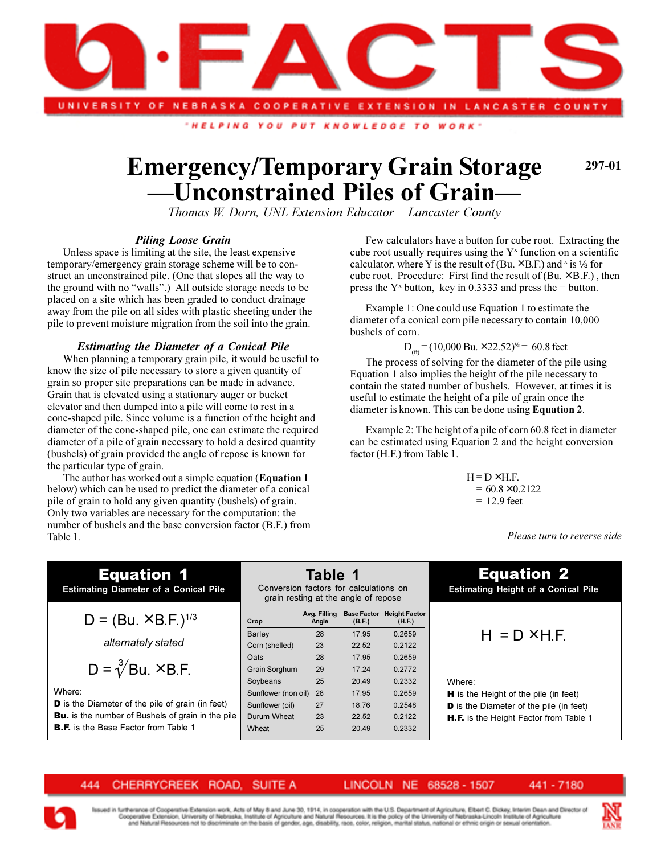

"HELPING YOU PUT KNOWLEDGE TO **WORK** 

## **Emergency/Temporary Grain Storage Unconstrained Piles of Grain**

**297-01**

*Thomas W. Dorn, UNL Extension Educator Lancaster County*

## *Piling Loose Grain*

Unless space is limiting at the site, the least expensive temporary/emergency grain storage scheme will be to construct an unconstrained pile. (One that slopes all the way to the ground with no "walls".) All outside storage needs to be placed on a site which has been graded to conduct drainage away from the pile on all sides with plastic sheeting under the pile to prevent moisture migration from the soil into the grain.

## *Estimating the Diameter of a Conical Pile*

When planning a temporary grain pile, it would be useful to know the size of pile necessary to store a given quantity of grain so proper site preparations can be made in advance. Grain that is elevated using a stationary auger or bucket elevator and then dumped into a pile will come to rest in a cone-shaped pile. Since volume is a function of the height and diameter of the cone-shaped pile, one can estimate the required diameter of a pile of grain necessary to hold a desired quantity (bushels) of grain provided the angle of repose is known for the particular type of grain.

The author has worked out a simple equation (**Equation 1** below) which can be used to predict the diameter of a conical pile of grain to hold any given quantity (bushels) of grain. Only two variables are necessary for the computation: the number of bushels and the base conversion factor (B.F.) from Table 1.

Few calculators have a button for cube root. Extracting the cube root usually requires using the  $Y^x$  function on a scientific calculator, where Y is the result of (Bu.  $\times$  B.F.) and  $\times$  is 1/<sub>3</sub> for cube root. Procedure: First find the result of  $(Bu \times B.F.)$ , then press the  $Y^x$  button, key in 0.3333 and press the = button.

Example 1: One could use Equation 1 to estimate the diameter of a conical corn pile necessary to contain 10,000 bushels of corn.

 $D_{(fh)} = (10,000 \text{ Bu.} \times 22.52)^{1/3} = 60.8 \text{ feet}$ 

The process of solving for the diameter of the pile using Equation 1 also implies the height of the pile necessary to contain the stated number of bushels. However, at times it is useful to estimate the height of a pile of grain once the diameter is known. This can be done using **Equation 2**.

Example 2: The height of a pile of corn 60.8 feet in diameter can be estimated using Equation 2 and the height conversion factor (H.F.) from Table 1.

> $H = D \times H.F.$  $= 60.8 \times 0.2122$  $= 12.9$  feet

> > *Please turn to reverse side*

## Equation 1

**Estimating Diameter of a Conical Pile**

$$
D = (Bu. × B.F.)^{1/3}
$$

$$
D = \sqrt[3]{Bu \times B.F.}
$$

Where:

**D** is the Diameter of the pile of grain (in feet) Bu. is the number of Bushels of grain in the pile **B.F.** is the Base Factor from Table 1

|                                           | grain resting at the angle of repose |                       |                              |                                |
|-------------------------------------------|--------------------------------------|-----------------------|------------------------------|--------------------------------|
| $D = (Bu. × B.F.)^{1/3}$                  | Crop                                 | Ava. Fillina<br>Angle | <b>Base Factor</b><br>(B.F.) | <b>Height Factor</b><br>(H.F.) |
|                                           | <b>Barley</b>                        | 28                    | 17.95                        | 0.2659                         |
| alternately stated                        | Corn (shelled)                       | 23                    | 22.52                        | 0.2122                         |
|                                           | Oats                                 | 28                    | 17.95                        | 0.2659                         |
| $D = \sqrt[3]{B}u$ . × B.F.               | Grain Sorghum                        | 29                    | 17.24                        | 0.2772                         |
|                                           | Soybeans                             | 25                    | 20.49                        | 0.2332                         |
|                                           | Sunflower (non oil)                  | 28                    | 17.95                        | 0.2659                         |
| Diameter of the pile of grain (in feet)   | Sunflower (oil)                      | 27                    | 18.76                        | 0.2548                         |
| he number of Bushels of grain in the pile | Durum Wheat                          | 23                    | 22.52                        | 0.2122                         |
| the Base Factor from Table 1              | Wheat                                | 25                    | 20.49                        | 0.2332                         |
|                                           |                                      |                       |                              |                                |

**Table 1** Conversion factors for calculations on

# Equation 2

**Estimating Height of a Conical Pile**

$$
H = D \times H.F.
$$

## Where:

- H is the Height of the pile (in feet) D is the Diameter of the pile (in feet)
- H.F. is the Height Factor from Table 1

CHERRYCREEK ROAD. **SUITE A** 444

LINCOLN NE 68528 - 1507 441 - 7180

therance of Cooperative Extension work, Acts of May 8 and June 30, 1914, in cooperation with the U.S. Department of Agriculture, Elbert C. Dickey, Interim Dean and Director o operative Extension, University of Nebraska, Institute of Apriculture and Natural Resources. It is the policy of the University of Nebraska-Lincoln Institute of Agrics,<br>and Natural Resources not to discriminate on the basi sity of Nebraska-Lincoln Institute of Agricults